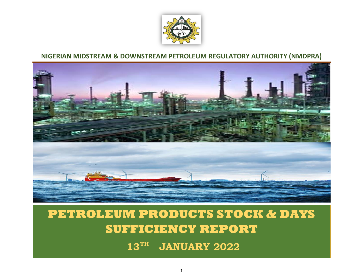

## **NIGERIAN MIDSTREAM & DOWNSTREAM PETROLEUM REGULATORY AUTHORITY (NMDPRA)**



## **PETROLEUM PRODUCTS STOCK & DAYS SUFFICIENCY REPORT**

**13 TH JANUARY 2022**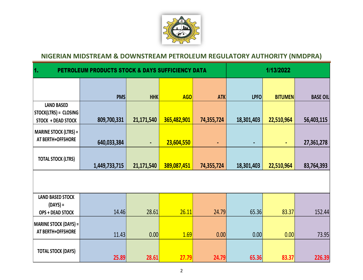

## **NIGERIAN MIDSTREAM & DOWNSTREAM PETROLEUM REGULATORY AUTHORITY (NMDPRA)**

|                              | 1/13/2022              |                     |                      |                                                                                    |                    |                                               |  |  |  |  |  |  |
|------------------------------|------------------------|---------------------|----------------------|------------------------------------------------------------------------------------|--------------------|-----------------------------------------------|--|--|--|--|--|--|
|                              |                        |                     |                      |                                                                                    |                    |                                               |  |  |  |  |  |  |
| <b>PMS</b>                   | <b>HHK</b>             | AGO                 | <b>ATK</b>           | <b>LPFO</b>                                                                        | <b>BITUMEN</b>     | <b>BASE OIL</b>                               |  |  |  |  |  |  |
| STOCK(LTRS) = CLOSING        |                        |                     |                      |                                                                                    |                    |                                               |  |  |  |  |  |  |
| 809,700,331                  | 21,171,540             | 365,482,901         | 74,355,724           | 18,301,403                                                                         | 22,510,964         | 56,403,115                                    |  |  |  |  |  |  |
|                              |                        |                     |                      |                                                                                    |                    |                                               |  |  |  |  |  |  |
| 640,033,384                  | $\blacksquare$         | 23,604,550          | ٠                    | $\qquad \qquad \blacksquare$                                                       | $\blacksquare$     | 27,361,278                                    |  |  |  |  |  |  |
|                              |                        |                     |                      |                                                                                    |                    |                                               |  |  |  |  |  |  |
|                              |                        |                     |                      |                                                                                    |                    | 83,764,393                                    |  |  |  |  |  |  |
|                              |                        |                     |                      |                                                                                    |                    |                                               |  |  |  |  |  |  |
|                              |                        |                     |                      |                                                                                    |                    |                                               |  |  |  |  |  |  |
| 14.46                        | 28.61                  | 26.11               | 24.79                |                                                                                    | 83.37              | 152.44                                        |  |  |  |  |  |  |
| <b>MARINE STOCK (DAYS) =</b> |                        |                     |                      |                                                                                    |                    |                                               |  |  |  |  |  |  |
| 11.43                        | 0.00                   | 1.69                |                      |                                                                                    | 0.00               | 73.95                                         |  |  |  |  |  |  |
|                              |                        |                     |                      |                                                                                    |                    | 226.39                                        |  |  |  |  |  |  |
|                              | 1,449,733,715<br>25.89 | 21,171,540<br>28.61 | 389,087,451<br>27.79 | <b>PETROLEUM PRODUCTS STOCK &amp; DAYS SUFFICIENCY DATA</b><br>74,355,724<br>24.79 | 18,301,403<br>0.00 | 22,510,964<br>65.36<br>0.00<br>65.36<br>83.37 |  |  |  |  |  |  |